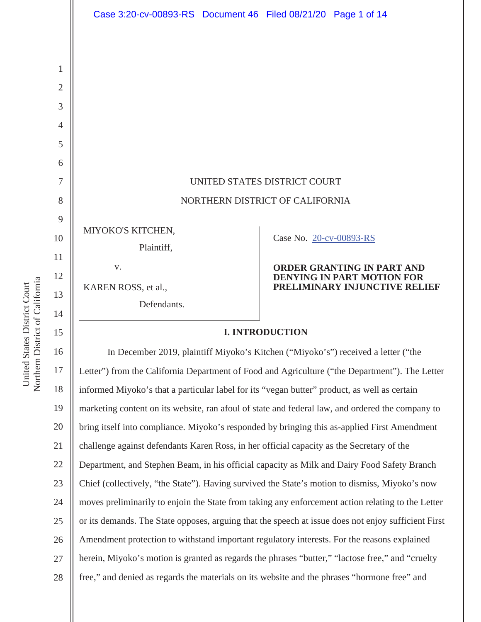

15 16 17 18 19 20 21 22 23 24 25 26 27 28 Letter") from the California Department of Food and Agriculture ("the Department"). The Letter informed Miyoko's that a particular label for its "vegan butter" product, as well as certain marketing content on its website, ran afoul of state and federal law, and ordered the company to bring itself into compliance. Miyoko's responded by bringing this as-applied First Amendment challenge against defendants Karen Ross, in her official capacity as the Secretary of the Department, and Stephen Beam, in his official capacity as Milk and Dairy Food Safety Branch Chief (collectively, "the State"). Having survived the State's motion to dismiss, Miyoko's now moves preliminarily to enjoin the State from taking any enforcement action relating to the Letter or its demands. The State opposes, arguing that the speech at issue does not enjoy sufficient First Amendment protection to withstand important regulatory interests. For the reasons explained herein, Miyoko's motion is granted as regards the phrases "butter," "lactose free," and "cruelty free," and denied as regards the materials on its website and the phrases "hormone free" and

Northern District of California Northern District of California United States District Court United States District Court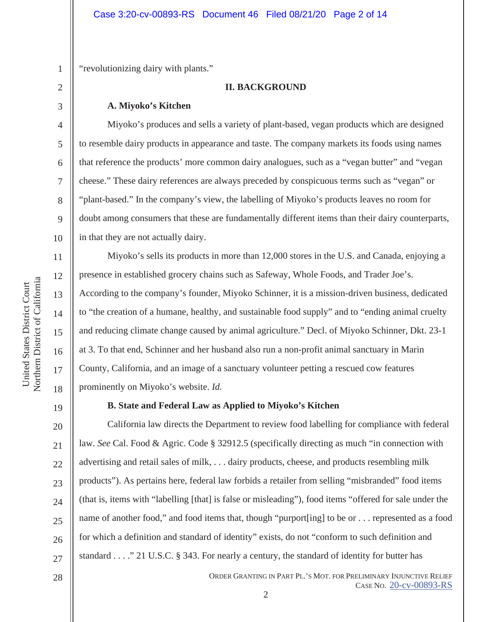"revolutionizing dairy with plants."

### **II. BACKGROUND**

#### **A. Miyoko's Kitchen**

Miyoko's produces and sells a variety of plant-based, vegan products which are designed to resemble dairy products in appearance and taste. The company markets its foods using names that reference the products' more common dairy analogues, such as a "vegan butter" and "vegan cheese." These dairy references are always preceded by conspicuous terms such as "vegan" or "plant-based." In the company's view, the labelling of Miyoko's products leaves no room for doubt among consumers that these are fundamentally different items than their dairy counterparts, in that they are not actually dairy.

 Miyoko's sells its products in more than 12,000 stores in the U.S. and Canada, enjoying a presence in established grocery chains such as Safeway, Whole Foods, and Trader Joe's. According to the company's founder, Miyoko Schinner, it is a mission-driven business, dedicated to "the creation of a humane, healthy, and sustainable food supply" and to "ending animal cruelty and reducing climate change caused by animal agriculture." Decl. of Miyoko Schinner, Dkt. 23-1 at 3. To that end, Schinner and her husband also run a non-profit animal sanctuary in Marin County, California, and an image of a sanctuary volunteer petting a rescued cow features prominently on Miyoko's website. *Id.* 

19

1

2

3

4

5

6

7

8

9

10

11

12

13

14

15

16

17

18

## **B. State and Federal Law as Applied to Miyoko's Kitchen**

20 21 22 23 24 25 26 27 California law directs the Department to review food labelling for compliance with federal law. *See* Cal. Food & Agric. Code § 32912.5 (specifically directing as much "in connection with advertising and retail sales of milk, . . . dairy products, cheese, and products resembling milk products"). As pertains here, federal law forbids a retailer from selling "misbranded" food items (that is, items with "labelling [that] is false or misleading"), food items "offered for sale under the name of another food," and food items that, though "purport[ing] to be or . . . represented as a food for which a definition and standard of identity" exists, do not "conform to such definition and standard . . . ." 21 U.S.C. § 343. For nearly a century, the standard of identity for butter has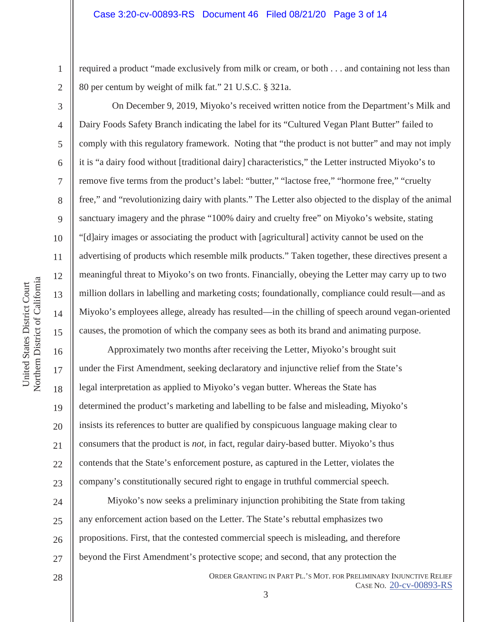required a product "made exclusively from milk or cream, or both . . . and containing not less than 80 per centum by weight of milk fat." 21 U.S.C. § 321a.

2 3

4

5

6

7

8

9

10

11

12

13

14

15

16

17

18

19

20

21

22

23

1

 On December 9, 2019, Miyoko's received written notice from the Department's Milk and Dairy Foods Safety Branch indicating the label for its "Cultured Vegan Plant Butter" failed to comply with this regulatory framework. Noting that "the product is not butter" and may not imply it is "a dairy food without [traditional dairy] characteristics," the Letter instructed Miyoko's to remove five terms from the product's label: "butter," "lactose free," "hormone free," "cruelty free," and "revolutionizing dairy with plants." The Letter also objected to the display of the animal sanctuary imagery and the phrase "100% dairy and cruelty free" on Miyoko's website, stating "[d]airy images or associating the product with [agricultural] activity cannot be used on the advertising of products which resemble milk products." Taken together, these directives present a meaningful threat to Miyoko's on two fronts. Financially, obeying the Letter may carry up to two million dollars in labelling and marketing costs; foundationally, compliance could result—and as Miyoko's employees allege, already has resulted—in the chilling of speech around vegan-oriented causes, the promotion of which the company sees as both its brand and animating purpose.

Approximately two months after receiving the Letter, Miyoko's brought suit under the First Amendment, seeking declaratory and injunctive relief from the State's legal interpretation as applied to Miyoko's vegan butter. Whereas the State has determined the product's marketing and labelling to be false and misleading, Miyoko's insists its references to butter are qualified by conspicuous language making clear to consumers that the product is *not,* in fact, regular dairy-based butter. Miyoko's thus contends that the State's enforcement posture, as captured in the Letter, violates the company's constitutionally secured right to engage in truthful commercial speech.

24 25 26 27 Miyoko's now seeks a preliminary injunction prohibiting the State from taking any enforcement action based on the Letter. The State's rebuttal emphasizes two propositions. First, that the contested commercial speech is misleading, and therefore beyond the First Amendment's protective scope; and second, that any protection the

> ORDER GRANTING IN PART PL.'S MOT. FOR PRELIMINARY INJUNCTIVE RELIEF CASE NO. 20-cv-00893-RS 3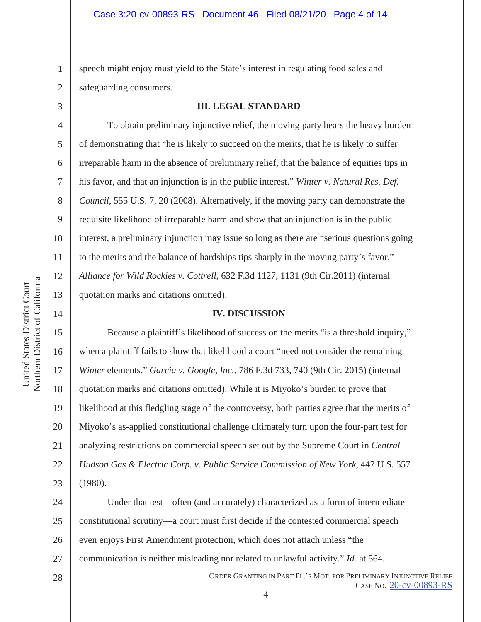1 2 speech might enjoy must yield to the State's interest in regulating food sales and safeguarding consumers.

3

4

5

6

7

8

9

10

11

12

13

14

15

16

17

18

19

20

21

22

23

28

#### **III. LEGAL STANDARD**

To obtain preliminary injunctive relief, the moving party bears the heavy burden of demonstrating that "he is likely to succeed on the merits, that he is likely to suffer irreparable harm in the absence of preliminary relief, that the balance of equities tips in his favor, and that an injunction is in the public interest." *Winter v. Natural Res. Def. Council,* 555 U.S. 7, 20 (2008). Alternatively, if the moving party can demonstrate the requisite likelihood of irreparable harm and show that an injunction is in the public interest, a preliminary injunction may issue so long as there are "serious questions going to the merits and the balance of hardships tips sharply in the moving party's favor." *Alliance for Wild Rockies v. Cottrell*, 632 F.3d 1127, 1131 (9th Cir.2011) (internal quotation marks and citations omitted).

#### **IV. DISCUSSION**

Because a plaintiff's likelihood of success on the merits "is a threshold inquiry," when a plaintiff fails to show that likelihood a court "need not consider the remaining *Winter* elements." *Garcia v. Google, Inc.*, 786 F.3d 733, 740 (9th Cir. 2015) (internal quotation marks and citations omitted). While it is Miyoko's burden to prove that likelihood at this fledgling stage of the controversy, both parties agree that the merits of Miyoko's as-applied constitutional challenge ultimately turn upon the four-part test for analyzing restrictions on commercial speech set out by the Supreme Court in *Central Hudson Gas & Electric Corp. v. Public Service Commission of New York,* 447 U.S. 557 (1980).

24 25 26 27 Under that test—often (and accurately) characterized as a form of intermediate constitutional scrutiny—a court must first decide if the contested commercial speech even enjoys First Amendment protection, which does not attach unless "the communication is neither misleading nor related to unlawful activity." *Id.* at 564.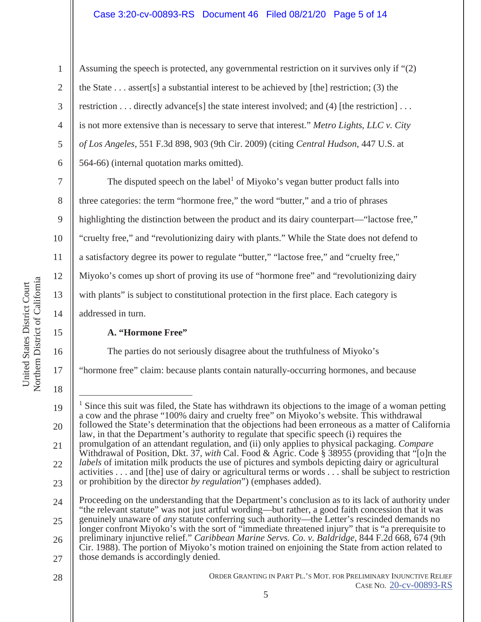## Case 3:20-cv-00893-RS Document 46 Filed 08/21/20 Page 5 of 14

Assuming the speech is protected, any governmental restriction on it survives only if "(2) the State  $\dots$  assert[s] a substantial interest to be achieved by [the] restriction; (3) the restriction . . . directly advance[s] the state interest involved; and (4) [the restriction] . . . is not more extensive than is necessary to serve that interest." *Metro Lights, LLC v. City of Los Angeles,* 551 F.3d 898, 903 (9th Cir. 2009) (citing *Central Hudson*, 447 U.S. at 564-66) (internal quotation marks omitted).

The disputed speech on the label<sup>1</sup> of Miyoko's vegan butter product falls into three categories: the term "hormone free," the word "butter," and a trio of phrases highlighting the distinction between the product and its dairy counterpart—"lactose free," "cruelty free," and "revolutionizing dairy with plants." While the State does not defend to a satisfactory degree its power to regulate "butter," "lactose free," and "cruelty free," Miyoko's comes up short of proving its use of "hormone free" and "revolutionizing dairy with plants" is subject to constitutional protection in the first place. Each category is addressed in turn.

## **A. "Hormone Free"**

The parties do not seriously disagree about the truthfulness of Miyoko's

"hormone free" claim: because plants contain naturally-occurring hormones, and because

1

2

3

4

5

6

7

8

9

10

11

12

13

14

15

16

<sup>18</sup>  19 20 21 22 23 24 25 26 1 Since this suit was filed, the State has withdrawn its objections to the image of a woman petting a cow and the phrase "100% dairy and cruelty free" on Miyoko's website. This withdrawal followed the State's determination that the objections had been erroneous as a matter of California law, in that the Department's authority to regulate that specific speech (i) requires the promulgation of an attendant regulation, and (ii) only applies to physical packaging. *Compare*  Withdrawal of Position, Dkt. 37, *with* Cal. Food & Agric. Code § 38955 (providing that "[o]n the *labels* of imitation milk products the use of pictures and symbols depicting dairy or agricultural activities . . . and [the] use of dairy or agricultural terms or words . . . shall be subject to restriction or prohibition by the director *by regulation*") (emphases added). Proceeding on the understanding that the Department's conclusion as to its lack of authority under "the relevant statute" was not just artful wording—but rather, a good faith concession that it was genuinely unaware of *any* statute conferring such authority—the Letter's rescinded demands no longer confront Miyoko's with the sort of "immediate threatened injury" that is "a prerequisite to preliminary injunctive relief." *Caribbean Marine Servs. Co. v. Baldridge,* 844 F.2d 668, 674 (9th Cir. 1988). The portion of Miyoko's motion trained on enjoining the State from action related to

<sup>27</sup>  those demands is accordingly denied.

<sup>28</sup>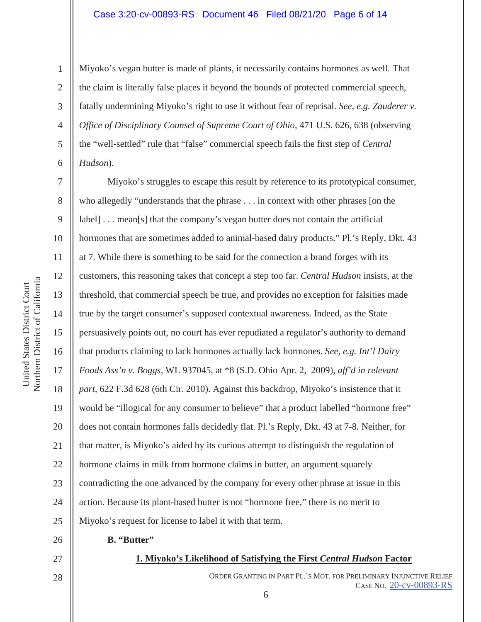#### Case 3:20-cv-00893-RS Document 46 Filed 08/21/20 Page 6 of 14

Miyoko's vegan butter is made of plants, it necessarily contains hormones as well. That the claim is literally false places it beyond the bounds of protected commercial speech, fatally undermining Miyoko's right to use it without fear of reprisal. *See, e.g. Zauderer v. Office of Disciplinary Counsel of Supreme Court of Ohio,* 471 U.S. 626, 638 (observing the "well-settled" rule that "false" commercial speech fails the first step of *Central Hudson*).

Miyoko's struggles to escape this result by reference to its prototypical consumer, who allegedly "understands that the phrase . . . in context with other phrases [on the label] . . . mean[s] that the company's vegan butter does not contain the artificial hormones that are sometimes added to animal-based dairy products." Pl.'s Reply, Dkt. 43 at 7. While there is something to be said for the connection a brand forges with its customers, this reasoning takes that concept a step too far. *Central Hudson* insists, at the threshold, that commercial speech be true, and provides no exception for falsities made true by the target consumer's supposed contextual awareness. Indeed, as the State persuasively points out, no court has ever repudiated a regulator's authority to demand that products claiming to lack hormones actually lack hormones. *See, e.g. Int'l Dairy Foods Ass'n v. Boggs,* WL 937045, at \*8 (S.D. Ohio Apr. 2, 2009), *aff'd in relevant part,* 622 F.3d 628 (6th Cir. 2010). Against this backdrop, Miyoko's insistence that it would be "illogical for any consumer to believe" that a product labelled "hormone free" does not contain hormones falls decidedly flat. Pl.'s Reply, Dkt. 43 at 7-8*.* Neither, for that matter, is Miyoko's aided by its curious attempt to distinguish the regulation of hormone claims in milk from hormone claims in butter, an argument squarely contradicting the one advanced by the company for every other phrase at issue in this action. Because its plant-based butter is not "hormone free," there is no merit to Miyoko's request for license to label it with that term.

1

2

3

4

5

6

7

8

9

10

11

12

13

14

15

16

17

18

19

20

21

22

23

24

25

26

- **B. "Butter"**
- 27 28

## **1. Miyoko's Likelihood of Satisfying the First** *Central Hudson* **Factor**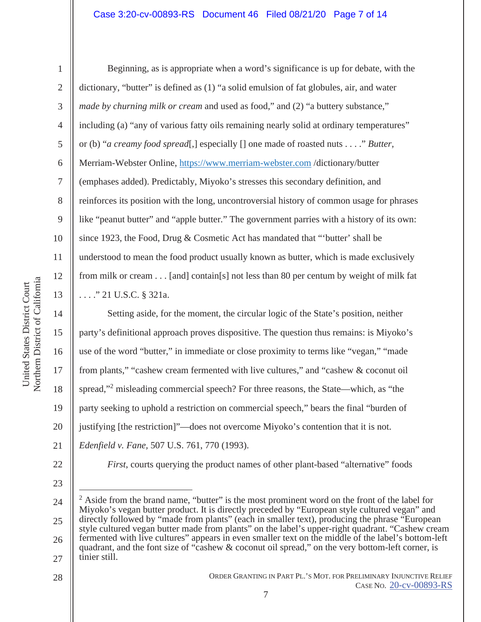### Case 3:20-cv-00893-RS Document 46 Filed 08/21/20 Page 7 of 14

1

2

3

4

5

6

7

8

9

10

11

12

13

14

15

16

17

18

19

20

21

22

Beginning, as is appropriate when a word's significance is up for debate, with the dictionary, "butter" is defined as (1) "a solid emulsion of fat globules, air, and water *made by churning milk or cream and used as food,*" and (2) "a buttery substance," including (a) "any of various fatty oils remaining nearly solid at ordinary temperatures" or (b) "*a creamy food spread*[,] especially [] one made of roasted nuts . . . ." *Butter,*  Merriam-Webster Online, https://www.merriam-webster.com /dictionary/butter (emphases added). Predictably, Miyoko's stresses this secondary definition, and reinforces its position with the long, uncontroversial history of common usage for phrases like "peanut butter" and "apple butter." The government parries with a history of its own: since 1923, the Food, Drug & Cosmetic Act has mandated that "'butter' shall be understood to mean the food product usually known as butter, which is made exclusively from milk or cream . . . [and] contain[s] not less than 80 per centum by weight of milk fat . . . ." 21 U.S.C. § 321a.

Setting aside, for the moment, the circular logic of the State's position, neither party's definitional approach proves dispositive. The question thus remains: is Miyoko's use of the word "butter," in immediate or close proximity to terms like "vegan," "made from plants," "cashew cream fermented with live cultures," and "cashew & coconut oil spread,"<sup>2</sup> misleading commercial speech? For three reasons, the State—which, as "the party seeking to uphold a restriction on commercial speech," bears the final "burden of justifying [the restriction]"—does not overcome Miyoko's contention that it is not. *Edenfield v. Fane,* 507 U.S. 761, 770 (1993).

23

24

25 26 27  $2$  Aside from the brand name, "butter" is the most prominent word on the front of the label for Miyoko's vegan butter product. It is directly preceded by "European style cultured vegan" and directly followed by "made from plants" (each in smaller text), producing the phrase "European style cultured vegan butter made from plants" on the label's upper-right quadrant. "Cashew cream fermented with live cultures" appears in even smaller text on the middle of the label's bottom-left quadrant, and the font size of "cashew & coconut oil spread," on the very bottom-left corner, is tinier still.

*First*, courts querying the product names of other plant-based "alternative" foods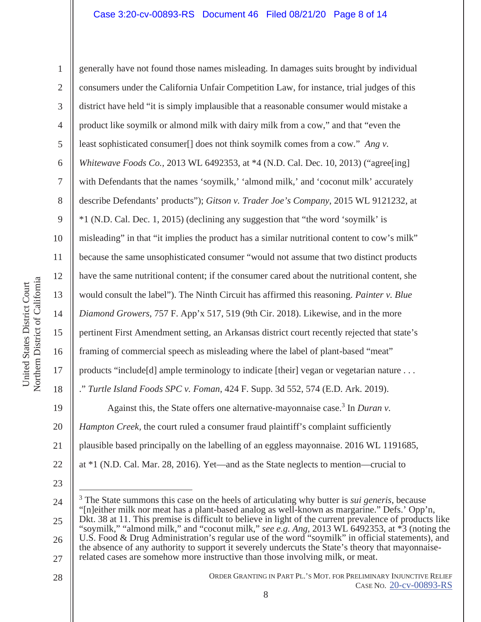Northern District of California Northern District of California United States District Court United States District Court

1 2 3 4 5 6 7 8 9 10 11 12 13 14 15 16 17 18 19 20 21 22 generally have not found those names misleading. In damages suits brought by individual consumers under the California Unfair Competition Law, for instance, trial judges of this district have held "it is simply implausible that a reasonable consumer would mistake a product like soymilk or almond milk with dairy milk from a cow," and that "even the least sophisticated consumer[] does not think soymilk comes from a cow." *Ang v. Whitewave Foods Co.,* 2013 WL 6492353, at \*4 (N.D. Cal. Dec. 10, 2013) ("agree[ing] with Defendants that the names 'soymilk,' 'almond milk,' and 'coconut milk' accurately describe Defendants' products"); *Gitson v. Trader Joe's Company*, 2015 WL 9121232, at \*1 (N.D. Cal. Dec. 1, 2015) (declining any suggestion that "the word 'soymilk' is misleading" in that "it implies the product has a similar nutritional content to cow's milk" because the same unsophisticated consumer "would not assume that two distinct products have the same nutritional content; if the consumer cared about the nutritional content, she would consult the label"). The Ninth Circuit has affirmed this reasoning. *Painter v. Blue Diamond Growers,* 757 F. App'x 517, 519 (9th Cir. 2018). Likewise, and in the more pertinent First Amendment setting, an Arkansas district court recently rejected that state's framing of commercial speech as misleading where the label of plant-based "meat" products "include[d] ample terminology to indicate [their] vegan or vegetarian nature . . . ." *Turtle Island Foods SPC v. Foman*, 424 F. Supp. 3d 552, 574 (E.D. Ark. 2019). Against this, the State offers one alternative-mayonnaise case.<sup>3</sup> In *Duran v*. *Hampton Creek,* the court ruled a consumer fraud plaintiff's complaint sufficiently plausible based principally on the labelling of an eggless mayonnaise. 2016 WL 1191685, at \*1 (N.D. Cal. Mar. 28, 2016). Yet—and as the State neglects to mention—crucial to

<sup>24</sup>  25 26 3 The State summons this case on the heels of articulating why butter is *sui generis*, because "[n]either milk nor meat has a plant-based analog as well-known as margarine." Defs.' Opp'n, Dkt. 38 at 11. This premise is difficult to believe in light of the current prevalence of products like "soymilk," "almond milk," and "coconut milk," *see e.g. Ang,* 2013 WL 6492353, at \*3 (noting the U.S. Food & Drug Administration's regular use of the word "soymilk" in official statements), and the absence of any authority to support it severely undercuts the State's theory that mayonnaise-

<sup>27</sup>  related cases are somehow more instructive than those involving milk, or meat.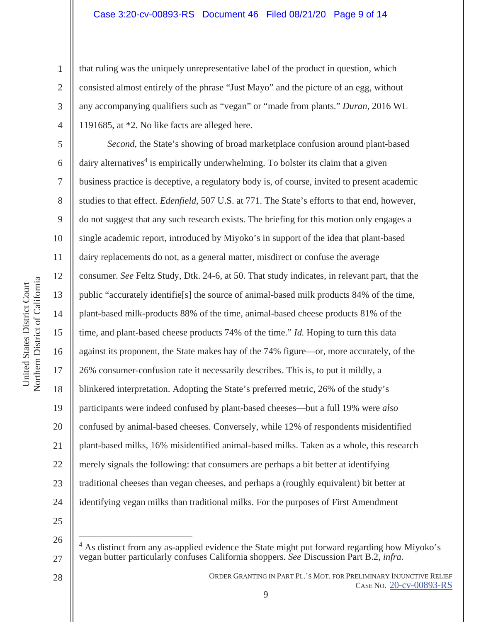that ruling was the uniquely unrepresentative label of the product in question, which consisted almost entirely of the phrase "Just Mayo" and the picture of an egg, without any accompanying qualifiers such as "vegan" or "made from plants." *Duran,* 2016 WL 1191685, at \*2. No like facts are alleged here.

10 16 20 22 24 *Second*, the State's showing of broad marketplace confusion around plant-based dairy alternatives<sup>4</sup> is empirically underwhelming. To bolster its claim that a given business practice is deceptive, a regulatory body is, of course, invited to present academic studies to that effect. *Edenfield,* 507 U.S. at 771. The State's efforts to that end, however, do not suggest that any such research exists. The briefing for this motion only engages a single academic report, introduced by Miyoko's in support of the idea that plant-based dairy replacements do not, as a general matter, misdirect or confuse the average consumer. *See* Feltz Study, Dtk. 24-6, at 50. That study indicates, in relevant part, that the public "accurately identifie[s] the source of animal-based milk products 84% of the time, plant-based milk-products 88% of the time, animal-based cheese products 81% of the time, and plant-based cheese products 74% of the time." *Id.* Hoping to turn this data against its proponent, the State makes hay of the 74% figure—or, more accurately, of the 26% consumer-confusion rate it necessarily describes. This is, to put it mildly, a blinkered interpretation. Adopting the State's preferred metric, 26% of the study's participants were indeed confused by plant-based cheeses—but a full 19% were *also* confused by animal-based cheeses. Conversely, while 12% of respondents misidentified plant-based milks, 16% misidentified animal-based milks. Taken as a whole, this research merely signals the following: that consumers are perhaps a bit better at identifying traditional cheeses than vegan cheeses, and perhaps a (roughly equivalent) bit better at identifying vegan milks than traditional milks. For the purposes of First Amendment

25 26

27

28

ORDER GRANTING IN PART PL.'S MOT. FOR PRELIMINARY INJUNCTIVE RELIEF CASE NO. 20-cv-00893-RS

1

2

3

4

5

6

7

8

9

11

12

13

14

15

17

18

19

21

<sup>4</sup> As distinct from any as-applied evidence the State might put forward regarding how Miyoko's vegan butter particularly confuses California shoppers*. See* Discussion Part B.2, *infra.*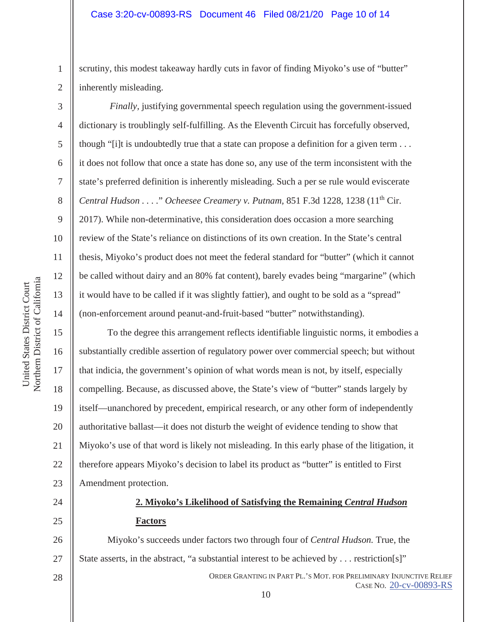scrutiny, this modest takeaway hardly cuts in favor of finding Miyoko's use of "butter" inherently misleading.

*Finally, justifying governmental speech regulation using the government-issued* dictionary is troublingly self-fulfilling. As the Eleventh Circuit has forcefully observed, though "[i]t is undoubtedly true that a state can propose a definition for a given term . . . it does not follow that once a state has done so, any use of the term inconsistent with the state's preferred definition is inherently misleading. Such a per se rule would eviscerate *Central Hudson . . . .*" *Ocheesee Creamery v. Putnam,* 851 F.3d 1228, 1238 (11th Cir. 2017). While non-determinative, this consideration does occasion a more searching review of the State's reliance on distinctions of its own creation. In the State's central thesis, Miyoko's product does not meet the federal standard for "butter" (which it cannot be called without dairy and an 80% fat content), barely evades being "margarine" (which it would have to be called if it was slightly fattier), and ought to be sold as a "spread" (non-enforcement around peanut-and-fruit-based "butter" notwithstanding).

To the degree this arrangement reflects identifiable linguistic norms, it embodies a substantially credible assertion of regulatory power over commercial speech; but without that indicia, the government's opinion of what words mean is not, by itself, especially compelling. Because, as discussed above, the State's view of "butter" stands largely by itself—unanchored by precedent, empirical research, or any other form of independently authoritative ballast—it does not disturb the weight of evidence tending to show that Miyoko's use of that word is likely not misleading. In this early phase of the litigation, it therefore appears Miyoko's decision to label its product as "butter" is entitled to First Amendment protection.

# 24 25

# **2. Miyoko's Likelihood of Satisfying the Remaining** *Central Hudson*  **Factors**

26 27 28 Miyoko's succeeds under factors two through four of *Central Hudson.* True, the State asserts, in the abstract, "a substantial interest to be achieved by . . . restriction[s]"

ORDER GRANTING IN PART PL.'S MOT. FOR PRELIMINARY INJUNCTIVE RELIEF CASE NO. 20-cv-00893-RS 10

1

2

3

4

5

6

7

8

9

10

11

12

13

14

15

16

17

18

19

20

21

22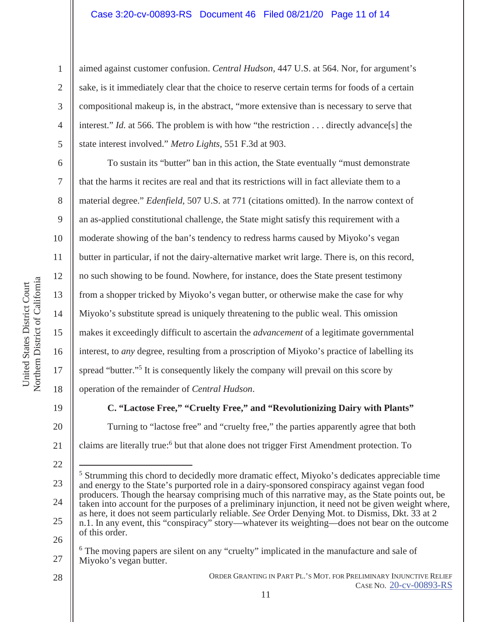#### Case 3:20-cv-00893-RS Document 46 Filed 08/21/20 Page 11 of 14

aimed against customer confusion. *Central Hudson,* 447 U.S. at 564. Nor, for argument's sake, is it immediately clear that the choice to reserve certain terms for foods of a certain compositional makeup is, in the abstract, "more extensive than is necessary to serve that interest." *Id.* at 566. The problem is with how "the restriction . . . directly advance[s] the state interest involved." *Metro Lights,* 551 F.3d at 903.

 To sustain its "butter" ban in this action, the State eventually "must demonstrate that the harms it recites are real and that its restrictions will in fact alleviate them to a material degree." *Edenfield,* 507 U.S. at 771 (citations omitted). In the narrow context of an as-applied constitutional challenge, the State might satisfy this requirement with a moderate showing of the ban's tendency to redress harms caused by Miyoko's vegan butter in particular, if not the dairy-alternative market writ large. There is, on this record, no such showing to be found. Nowhere, for instance, does the State present testimony from a shopper tricked by Miyoko's vegan butter, or otherwise make the case for why Miyoko's substitute spread is uniquely threatening to the public weal. This omission makes it exceedingly difficult to ascertain the *advancement* of a legitimate governmental interest, to *any* degree, resulting from a proscription of Miyoko's practice of labelling its spread "butter."<sup>5</sup> It is consequently likely the company will prevail on this score by operation of the remainder of *Central Hudson*.

19

20

21

22

1

2

3

4

5

6

7

8

9

10

11

12

13

14

15

16

17

18

**C. "Lactose Free," "Cruelty Free," and "Revolutionizing Dairy with Plants"** Turning to "lactose free" and "cruelty free," the parties apparently agree that both claims are literally true:<sup>6</sup> but that alone does not trigger First Amendment protection. To

ORDER GRANTING IN PART PL.'S MOT. FOR PRELIMINARY INJUNCTIVE RELIEF CASE NO. 20-cv-00893-RS

<sup>23</sup>  24 25 26 <sup>5</sup> Strumming this chord to decidedly more dramatic effect, Miyoko's dedicates appreciable time and energy to the State's purported role in a dairy-sponsored conspiracy against vegan food producers. Though the hearsay comprising much of this narrative may, as the State points out, be taken into account for the purposes of a preliminary injunction, it need not be given weight where, as here, it does not seem particularly reliable. *See* Order Denying Mot. to Dismiss, Dkt. 33 at 2 n.1. In any event, this "conspiracy" story—whatever its weighting—does not bear on the outcome of this order.

<sup>27</sup>  <sup>6</sup> The moving papers are silent on any "cruelty" implicated in the manufacture and sale of Miyoko's vegan butter.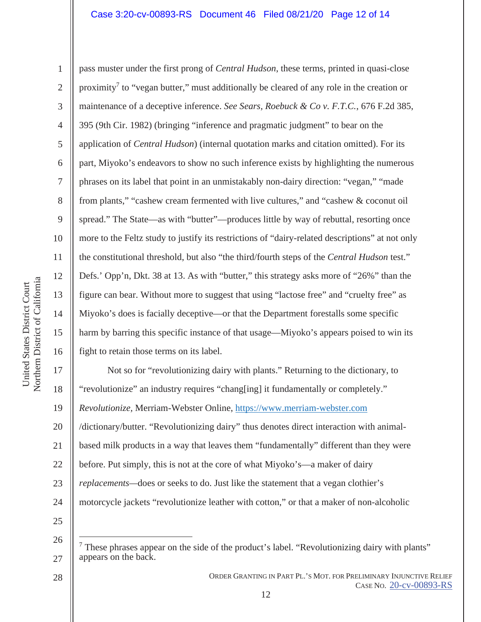6 10 pass muster under the first prong of *Central Hudson*, these terms, printed in quasi-close proximity<sup>7</sup> to "vegan butter," must additionally be cleared of any role in the creation or maintenance of a deceptive inference. *See Sears, Roebuck & Co v. F.T.C.*, 676 F.2d 385, 395 (9th Cir. 1982) (bringing "inference and pragmatic judgment" to bear on the application of *Central Hudson*) (internal quotation marks and citation omitted). For its part, Miyoko's endeavors to show no such inference exists by highlighting the numerous phrases on its label that point in an unmistakably non-dairy direction: "vegan," "made from plants," "cashew cream fermented with live cultures," and "cashew & coconut oil spread." The State—as with "butter"—produces little by way of rebuttal, resorting once more to the Feltz study to justify its restrictions of "dairy-related descriptions" at not only the constitutional threshold, but also "the third/fourth steps of the *Central Hudson* test." Defs.' Opp'n, Dkt. 38 at 13. As with "butter," this strategy asks more of "26%" than the figure can bear. Without more to suggest that using "lactose free" and "cruelty free" as Miyoko's does is facially deceptive—or that the Department forestalls some specific harm by barring this specific instance of that usage—Miyoko's appears poised to win its fight to retain those terms on its label.

20 21 22 23 24 25 Not so for "revolutionizing dairy with plants." Returning to the dictionary, to "revolutionize" an industry requires "chang[ing] it fundamentally or completely." *Revolutionize,* Merriam-Webster Online, https://www.merriam-webster.com /dictionary/butter. "Revolutionizing dairy" thus denotes direct interaction with animalbased milk products in a way that leaves them "fundamentally" different than they were before. Put simply, this is not at the core of what Miyoko's—a maker of dairy *replacements—*does or seeks to do. Just like the statement that a vegan clothier's motorcycle jackets "revolutionize leather with cotton," or that a maker of non-alcoholic

28

1

2

3

4

5

7

8

9

11

12

26 27 7 These phrases appear on the side of the product's label. "Revolutionizing dairy with plants" appears on the back.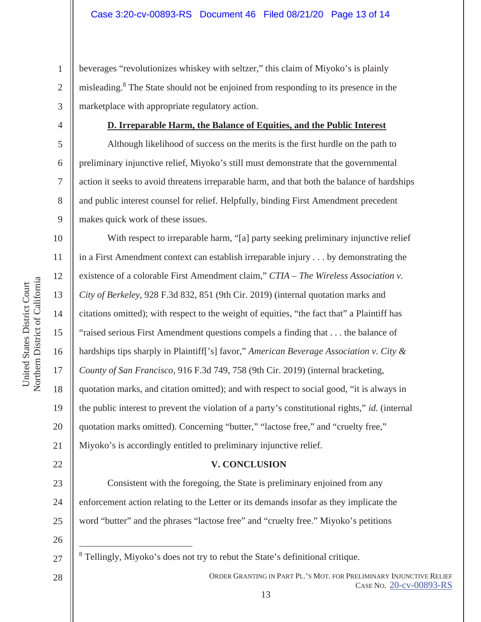2 3 beverages "revolutionizes whiskey with seltzer," this claim of Miyoko's is plainly misleading.<sup>8</sup> The State should not be enjoined from responding to its presence in the marketplace with appropriate regulatory action.

4

5

6

7

8

9

11

12

13

14

15

17

18

19

21

22

23

24

25

1

## **D. Irreparable Harm, the Balance of Equities, and the Public Interest**

 Although likelihood of success on the merits is the first hurdle on the path to preliminary injunctive relief, Miyoko's still must demonstrate that the governmental action it seeks to avoid threatens irreparable harm, and that both the balance of hardships and public interest counsel for relief. Helpfully, binding First Amendment precedent makes quick work of these issues.

10 16 20 With respect to irreparable harm, "[a] party seeking preliminary injunctive relief in a First Amendment context can establish irreparable injury . . . by demonstrating the existence of a colorable First Amendment claim," CTIA – The Wireless Association v. *City of Berkeley,* 928 F.3d 832, 851 (9th Cir. 2019) (internal quotation marks and citations omitted); with respect to the weight of equities, "the fact that" a Plaintiff has "raised serious First Amendment questions compels a finding that . . . the balance of hardships tips sharply in Plaintiff['s] favor," *American Beverage Association v. City & County of San Francisco,* 916 F.3d 749, 758 (9th Cir. 2019) (internal bracketing, quotation marks, and citation omitted); and with respect to social good, "it is always in the public interest to prevent the violation of a party's constitutional rights," *id.* (internal quotation marks omitted). Concerning "butter," "lactose free," and "cruelty free," Miyoko's is accordingly entitled to preliminary injunctive relief.

## **V. CONCLUSION**

 Consistent with the foregoing, the State is preliminary enjoined from any enforcement action relating to the Letter or its demands insofar as they implicate the word "butter" and the phrases "lactose free" and "cruelty free." Miyoko's petitions

26

27

28

<sup>8</sup> Tellingly, Miyoko's does not try to rebut the State's definitional critique.